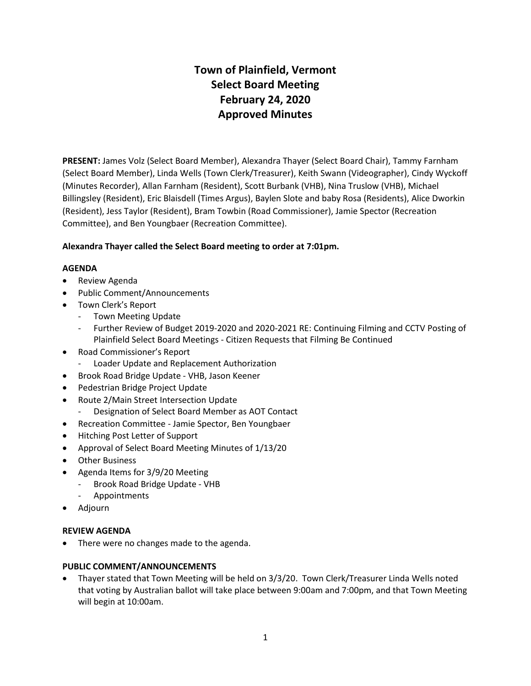# **Town of Plainfield, Vermont Select Board Meeting February 24, 2020 Approved Minutes**

**PRESENT:** James Volz (Select Board Member), Alexandra Thayer (Select Board Chair), Tammy Farnham (Select Board Member), Linda Wells (Town Clerk/Treasurer), Keith Swann (Videographer), Cindy Wyckoff (Minutes Recorder), Allan Farnham (Resident), Scott Burbank (VHB), Nina Truslow (VHB), Michael Billingsley (Resident), Eric Blaisdell (Times Argus), Baylen Slote and baby Rosa (Residents), Alice Dworkin (Resident), Jess Taylor (Resident), Bram Towbin (Road Commissioner), Jamie Spector (Recreation Committee), and Ben Youngbaer (Recreation Committee).

# **Alexandra Thayer called the Select Board meeting to order at 7:01pm.**

# **AGENDA**

- **•** Review Agenda
- Public Comment/Announcements
- Town Clerk's Report
	- Town Meeting Update
	- Further Review of Budget 2019-2020 and 2020-2021 RE: Continuing Filming and CCTV Posting of Plainfield Select Board Meetings - Citizen Requests that Filming Be Continued
- Road Commissioner's Report
	- Loader Update and Replacement Authorization
- Brook Road Bridge Update VHB, Jason Keener
- Pedestrian Bridge Project Update
- Route 2/Main Street Intersection Update
- Designation of Select Board Member as AOT Contact
- Recreation Committee Jamie Spector, Ben Youngbaer
- Hitching Post Letter of Support
- Approval of Select Board Meeting Minutes of 1/13/20
- Other Business
- Agenda Items for 3/9/20 Meeting
	- Brook Road Bridge Update VHB
	- Appointments
- Adjourn

# **REVIEW AGENDA**

• There were no changes made to the agenda.

# **PUBLIC COMMENT/ANNOUNCEMENTS**

 Thayer stated that Town Meeting will be held on 3/3/20. Town Clerk/Treasurer Linda Wells noted that voting by Australian ballot will take place between 9:00am and 7:00pm, and that Town Meeting will begin at 10:00am.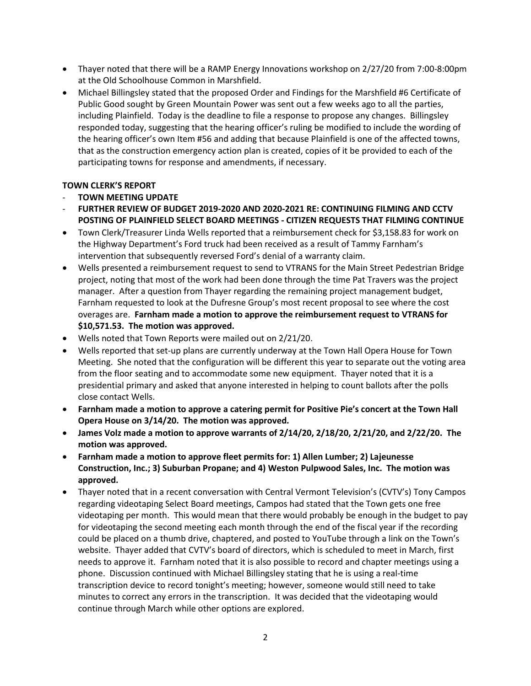- Thayer noted that there will be a RAMP Energy Innovations workshop on 2/27/20 from 7:00-8:00pm at the Old Schoolhouse Common in Marshfield.
- Michael Billingsley stated that the proposed Order and Findings for the Marshfield #6 Certificate of Public Good sought by Green Mountain Power was sent out a few weeks ago to all the parties, including Plainfield. Today is the deadline to file a response to propose any changes. Billingsley responded today, suggesting that the hearing officer's ruling be modified to include the wording of the hearing officer's own Item #56 and adding that because Plainfield is one of the affected towns, that as the construction emergency action plan is created, copies of it be provided to each of the participating towns for response and amendments, if necessary.

# **TOWN CLERK'S REPORT**

- **TOWN MEETING UPDATE**
- **FURTHER REVIEW OF BUDGET 2019-2020 AND 2020-2021 RE: CONTINUING FILMING AND CCTV POSTING OF PLAINFIELD SELECT BOARD MEETINGS - CITIZEN REQUESTS THAT FILMING CONTINUE**
- Town Clerk/Treasurer Linda Wells reported that a reimbursement check for \$3,158.83 for work on the Highway Department's Ford truck had been received as a result of Tammy Farnham's intervention that subsequently reversed Ford's denial of a warranty claim.
- Wells presented a reimbursement request to send to VTRANS for the Main Street Pedestrian Bridge project, noting that most of the work had been done through the time Pat Travers was the project manager. After a question from Thayer regarding the remaining project management budget, Farnham requested to look at the Dufresne Group's most recent proposal to see where the cost overages are. **Farnham made a motion to approve the reimbursement request to VTRANS for \$10,571.53. The motion was approved.**
- Wells noted that Town Reports were mailed out on 2/21/20.
- Wells reported that set-up plans are currently underway at the Town Hall Opera House for Town Meeting. She noted that the configuration will be different this year to separate out the voting area from the floor seating and to accommodate some new equipment. Thayer noted that it is a presidential primary and asked that anyone interested in helping to count ballots after the polls close contact Wells.
- **Farnham made a motion to approve a catering permit for Positive Pie's concert at the Town Hall Opera House on 3/14/20. The motion was approved.**
- **James Volz made a motion to approve warrants of 2/14/20, 2/18/20, 2/21/20, and 2/22/20. The motion was approved.**
- **Farnham made a motion to approve fleet permits for: 1) Allen Lumber; 2) Lajeunesse Construction, Inc.; 3) Suburban Propane; and 4) Weston Pulpwood Sales, Inc. The motion was approved.**
- Thayer noted that in a recent conversation with Central Vermont Television's (CVTV's) Tony Campos regarding videotaping Select Board meetings, Campos had stated that the Town gets one free videotaping per month. This would mean that there would probably be enough in the budget to pay for videotaping the second meeting each month through the end of the fiscal year if the recording could be placed on a thumb drive, chaptered, and posted to YouTube through a link on the Town's website. Thayer added that CVTV's board of directors, which is scheduled to meet in March, first needs to approve it. Farnham noted that it is also possible to record and chapter meetings using a phone. Discussion continued with Michael Billingsley stating that he is using a real-time transcription device to record tonight's meeting; however, someone would still need to take minutes to correct any errors in the transcription. It was decided that the videotaping would continue through March while other options are explored.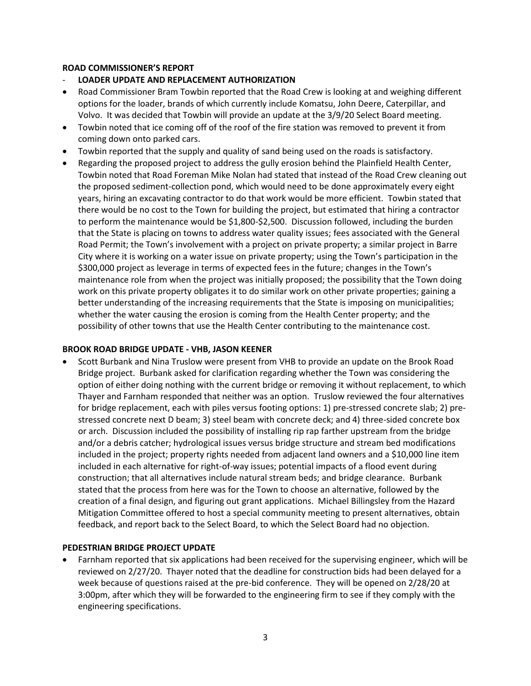## **ROAD COMMISSIONER'S REPORT**

- **LOADER UPDATE AND REPLACEMENT AUTHORIZATION**
- Road Commissioner Bram Towbin reported that the Road Crew is looking at and weighing different options for the loader, brands of which currently include Komatsu, John Deere, Caterpillar, and Volvo. It was decided that Towbin will provide an update at the 3/9/20 Select Board meeting.
- Towbin noted that ice coming off of the roof of the fire station was removed to prevent it from coming down onto parked cars.
- Towbin reported that the supply and quality of sand being used on the roads is satisfactory.
- Regarding the proposed project to address the gully erosion behind the Plainfield Health Center, Towbin noted that Road Foreman Mike Nolan had stated that instead of the Road Crew cleaning out the proposed sediment-collection pond, which would need to be done approximately every eight years, hiring an excavating contractor to do that work would be more efficient. Towbin stated that there would be no cost to the Town for building the project, but estimated that hiring a contractor to perform the maintenance would be \$1,800-\$2,500. Discussion followed, including the burden that the State is placing on towns to address water quality issues; fees associated with the General Road Permit; the Town's involvement with a project on private property; a similar project in Barre City where it is working on a water issue on private property; using the Town's participation in the \$300,000 project as leverage in terms of expected fees in the future; changes in the Town's maintenance role from when the project was initially proposed; the possibility that the Town doing work on this private property obligates it to do similar work on other private properties; gaining a better understanding of the increasing requirements that the State is imposing on municipalities; whether the water causing the erosion is coming from the Health Center property; and the possibility of other towns that use the Health Center contributing to the maintenance cost.

#### **BROOK ROAD BRIDGE UPDATE - VHB, JASON KEENER**

 Scott Burbank and Nina Truslow were present from VHB to provide an update on the Brook Road Bridge project. Burbank asked for clarification regarding whether the Town was considering the option of either doing nothing with the current bridge or removing it without replacement, to which Thayer and Farnham responded that neither was an option. Truslow reviewed the four alternatives for bridge replacement, each with piles versus footing options: 1) pre-stressed concrete slab; 2) prestressed concrete next D beam; 3) steel beam with concrete deck; and 4) three-sided concrete box or arch. Discussion included the possibility of installing rip rap farther upstream from the bridge and/or a debris catcher; hydrological issues versus bridge structure and stream bed modifications included in the project; property rights needed from adjacent land owners and a \$10,000 line item included in each alternative for right-of-way issues; potential impacts of a flood event during construction; that all alternatives include natural stream beds; and bridge clearance. Burbank stated that the process from here was for the Town to choose an alternative, followed by the creation of a final design, and figuring out grant applications. Michael Billingsley from the Hazard Mitigation Committee offered to host a special community meeting to present alternatives, obtain feedback, and report back to the Select Board, to which the Select Board had no objection.

# **PEDESTRIAN BRIDGE PROJECT UPDATE**

 Farnham reported that six applications had been received for the supervising engineer, which will be reviewed on 2/27/20. Thayer noted that the deadline for construction bids had been delayed for a week because of questions raised at the pre-bid conference. They will be opened on 2/28/20 at 3:00pm, after which they will be forwarded to the engineering firm to see if they comply with the engineering specifications.